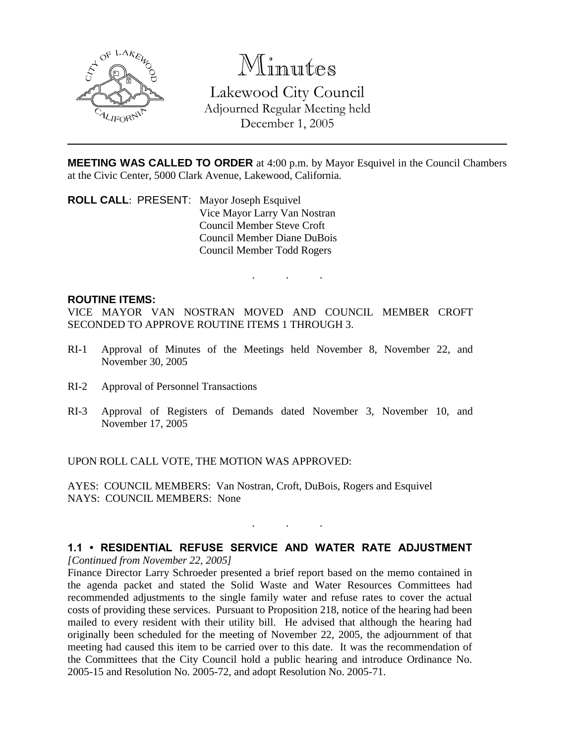

# Minutes

Lakewood City Council Adjourned Regular Meeting held December 1, 2005

**MEETING WAS CALLED TO ORDER** at 4:00 p.m. by Mayor Esquivel in the Council Chambers at the Civic Center, 5000 Clark Avenue, Lakewood, California.

. . .

**ROLL CALL**: PRESENT: Mayor Joseph Esquivel Vice Mayor Larry Van Nostran Council Member Steve Croft Council Member Diane DuBois Council Member Todd Rogers

#### **ROUTINE ITEMS:**

VICE MAYOR VAN NOSTRAN MOVED AND COUNCIL MEMBER CROFT SECONDED TO APPROVE ROUTINE ITEMS 1 THROUGH 3.

- RI-1 Approval of Minutes of the Meetings held November 8, November 22, and November 30, 2005
- RI-2 Approval of Personnel Transactions
- RI-3 Approval of Registers of Demands dated November 3, November 10, and November 17, 2005

UPON ROLL CALL VOTE, THE MOTION WAS APPROVED:

AYES: COUNCIL MEMBERS: Van Nostran, Croft, DuBois, Rogers and Esquivel NAYS: COUNCIL MEMBERS: None

# **1.1 • RESIDENTIAL REFUSE SERVICE AND WATER RATE ADJUSTMENT**

. . .

*[Continued from November 22, 2005]*

Finance Director Larry Schroeder presented a brief report based on the memo contained in the agenda packet and stated the Solid Waste and Water Resources Committees had recommended adjustments to the single family water and refuse rates to cover the actual costs of providing these services. Pursuant to Proposition 218, notice of the hearing had been mailed to every resident with their utility bill. He advised that although the hearing had originally been scheduled for the meeting of November 22, 2005, the adjournment of that meeting had caused this item to be carried over to this date. It was the recommendation of the Committees that the City Council hold a public hearing and introduce Ordinance No. 2005-15 and Resolution No. 2005-72, and adopt Resolution No. 2005-71.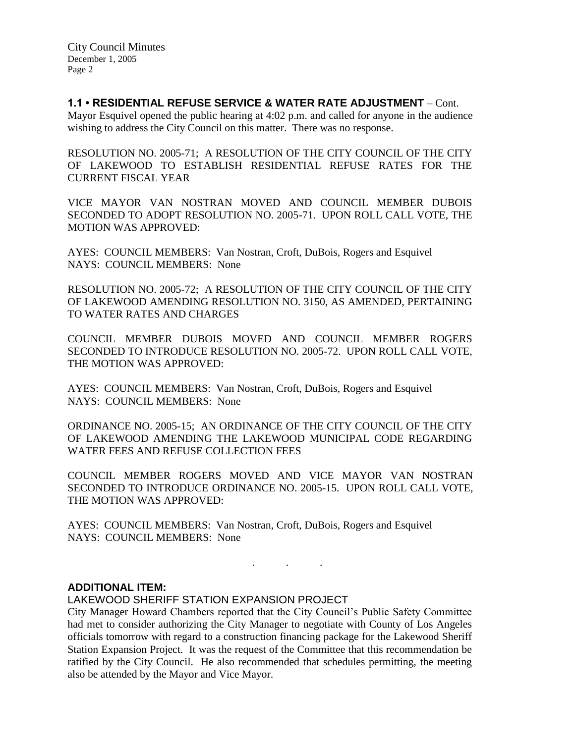### **1.1 • RESIDENTIAL REFUSE SERVICE & WATER RATE ADJUSTMENT** – Cont.

Mayor Esquivel opened the public hearing at 4:02 p.m. and called for anyone in the audience wishing to address the City Council on this matter. There was no response.

RESOLUTION NO. 2005-71; A RESOLUTION OF THE CITY COUNCIL OF THE CITY OF LAKEWOOD TO ESTABLISH RESIDENTIAL REFUSE RATES FOR THE CURRENT FISCAL YEAR

VICE MAYOR VAN NOSTRAN MOVED AND COUNCIL MEMBER DUBOIS SECONDED TO ADOPT RESOLUTION NO. 2005-71. UPON ROLL CALL VOTE, THE MOTION WAS APPROVED:

AYES: COUNCIL MEMBERS: Van Nostran, Croft, DuBois, Rogers and Esquivel NAYS: COUNCIL MEMBERS: None

RESOLUTION NO. 2005-72; A RESOLUTION OF THE CITY COUNCIL OF THE CITY OF LAKEWOOD AMENDING RESOLUTION NO. 3150, AS AMENDED, PERTAINING TO WATER RATES AND CHARGES

COUNCIL MEMBER DUBOIS MOVED AND COUNCIL MEMBER ROGERS SECONDED TO INTRODUCE RESOLUTION NO. 2005-72. UPON ROLL CALL VOTE, THE MOTION WAS APPROVED:

AYES: COUNCIL MEMBERS: Van Nostran, Croft, DuBois, Rogers and Esquivel NAYS: COUNCIL MEMBERS: None

ORDINANCE NO. 2005-15; AN ORDINANCE OF THE CITY COUNCIL OF THE CITY OF LAKEWOOD AMENDING THE LAKEWOOD MUNICIPAL CODE REGARDING WATER FEES AND REFUSE COLLECTION FEES

COUNCIL MEMBER ROGERS MOVED AND VICE MAYOR VAN NOSTRAN SECONDED TO INTRODUCE ORDINANCE NO. 2005-15. UPON ROLL CALL VOTE, THE MOTION WAS APPROVED:

. . .

AYES: COUNCIL MEMBERS: Van Nostran, Croft, DuBois, Rogers and Esquivel NAYS: COUNCIL MEMBERS: None

#### **ADDITIONAL ITEM:**

LAKEWOOD SHERIFF STATION EXPANSION PROJECT

City Manager Howard Chambers reported that the City Council's Public Safety Committee had met to consider authorizing the City Manager to negotiate with County of Los Angeles officials tomorrow with regard to a construction financing package for the Lakewood Sheriff Station Expansion Project. It was the request of the Committee that this recommendation be ratified by the City Council. He also recommended that schedules permitting, the meeting also be attended by the Mayor and Vice Mayor.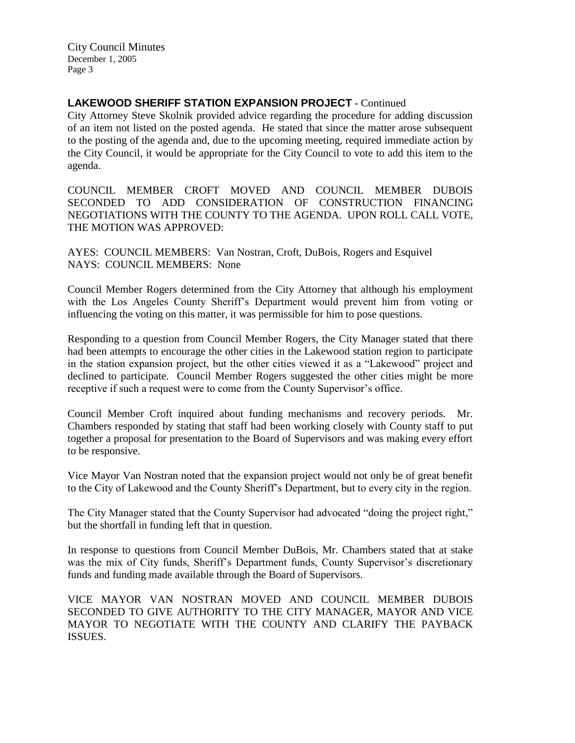City Council Minutes December 1, 2005 Page 3

## **LAKEWOOD SHERIFF STATION EXPANSION PROJECT** - Continued

City Attorney Steve Skolnik provided advice regarding the procedure for adding discussion of an item not listed on the posted agenda. He stated that since the matter arose subsequent to the posting of the agenda and, due to the upcoming meeting, required immediate action by the City Council, it would be appropriate for the City Council to vote to add this item to the agenda.

COUNCIL MEMBER CROFT MOVED AND COUNCIL MEMBER DUBOIS SECONDED TO ADD CONSIDERATION OF CONSTRUCTION FINANCING NEGOTIATIONS WITH THE COUNTY TO THE AGENDA. UPON ROLL CALL VOTE, THE MOTION WAS APPROVED:

AYES: COUNCIL MEMBERS: Van Nostran, Croft, DuBois, Rogers and Esquivel NAYS: COUNCIL MEMBERS: None

Council Member Rogers determined from the City Attorney that although his employment with the Los Angeles County Sheriff's Department would prevent him from voting or influencing the voting on this matter, it was permissible for him to pose questions.

Responding to a question from Council Member Rogers, the City Manager stated that there had been attempts to encourage the other cities in the Lakewood station region to participate in the station expansion project, but the other cities viewed it as a "Lakewood" project and declined to participate. Council Member Rogers suggested the other cities might be more receptive if such a request were to come from the County Supervisor's office.

Council Member Croft inquired about funding mechanisms and recovery periods. Mr. Chambers responded by stating that staff had been working closely with County staff to put together a proposal for presentation to the Board of Supervisors and was making every effort to be responsive.

Vice Mayor Van Nostran noted that the expansion project would not only be of great benefit to the City of Lakewood and the County Sheriff's Department, but to every city in the region.

The City Manager stated that the County Supervisor had advocated "doing the project right," but the shortfall in funding left that in question.

In response to questions from Council Member DuBois, Mr. Chambers stated that at stake was the mix of City funds, Sheriff's Department funds, County Supervisor's discretionary funds and funding made available through the Board of Supervisors.

VICE MAYOR VAN NOSTRAN MOVED AND COUNCIL MEMBER DUBOIS SECONDED TO GIVE AUTHORITY TO THE CITY MANAGER, MAYOR AND VICE MAYOR TO NEGOTIATE WITH THE COUNTY AND CLARIFY THE PAYBACK ISSUES.